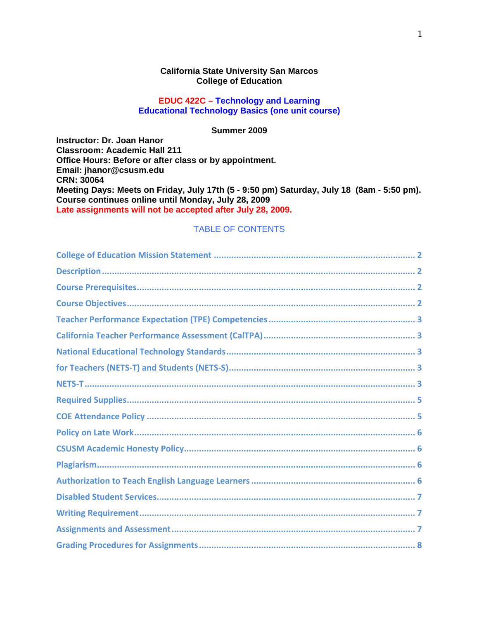#### **California State University San Marcos College of Education**

### **EDUC 422C – Technology and Learning Educational Technology Basics (one unit course)**

#### **Summer 2009**

**CRN: 30064 Course continues online until Monday, July 28, 2009 Instructor: Dr. Joan Hanor Classroom: Academic Hall 211 Office Hours: Before or after class or by appointment. Email: jhanor@csusm.edu Meeting Days: Meets on Friday, July 17th (5 - 9:50 pm) Saturday, July 18 (8am - 5:50 pm). Late assignments will not be accepted after July 28, 2009.** 

### TABLE OF CONTENTS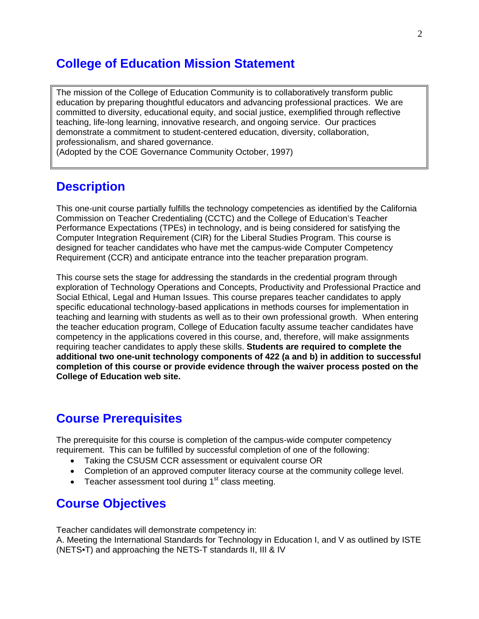## **College of Education Mission Statement**

 education by preparing thoughtful educators and advancing professional practices. We are The mission of the College of Education Community is to collaboratively transform public committed to diversity, educational equity, and social justice, exemplified through reflective teaching, life-long learning, innovative research, and ongoing service. Our practices demonstrate a commitment to student-centered education, diversity, collaboration, professionalism, and shared governance.

(Adopted by the COE Governance Community October, 1997)

### **Description**

This one-unit course partially fulfills the technology competencies as identified by the California Commission on Teacher Credentialing (CCTC) and the College of Education's Teacher Performance Expectations (TPEs) in technology, and is being considered for satisfying the Computer Integration Requirement (CIR) for the Liberal Studies Program. This course is designed for teacher candidates who have met the campus-wide Computer Competency Requirement (CCR) and anticipate entrance into the teacher preparation program.

This course sets the stage for addressing the standards in the credential program through exploration of Technology Operations and Concepts, Productivity and Professional Practice and Social Ethical, Legal and Human Issues. This course prepares teacher candidates to apply specific educational technology-based applications in methods courses for implementation in teaching and learning with students as well as to their own professional growth. When entering the teacher education program, College of Education faculty assume teacher candidates have competency in the applications covered in this course, and, therefore, will make assignments requiring teacher candidates to apply these skills. **Students are required to complete the additional two one-unit technology components of 422 (a and b) in addition to successful completion of this course or provide evidence through the waiver process posted on the College of Education web site.** 

# **Course Prerequisites**

The prerequisite for this course is completion of the campus-wide computer competency requirement. This can be fulfilled by successful completion of one of the following:

- Taking the CSUSM CCR assessment or equivalent course OR
- Completion of an approved computer literacy course at the community college level.
- Teacher assessment tool during  $1<sup>st</sup>$  class meeting.

## **Course Objectives**

Teacher candidates will demonstrate competency in:

A. Meeting the International Standards for Technology in Education I, and V as outlined by ISTE (NETS•T) and approaching the NETS-T standards II, III & IV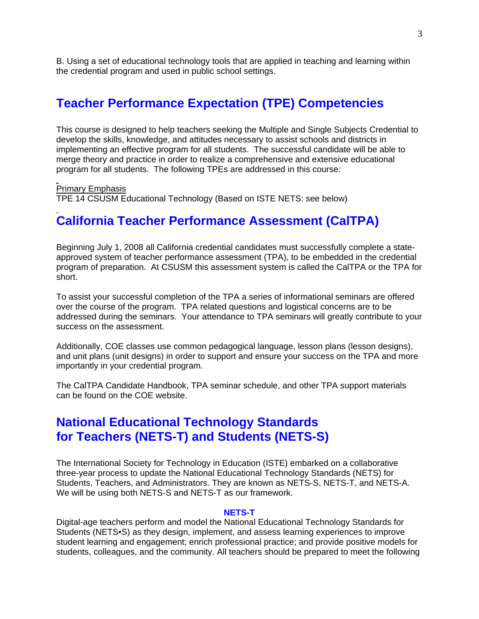B. Using a set of educational technology tools that are applied in teaching and learning within the credential program and used in public school settings.

### **Teacher Performance Expectation (TPE) Competencies**

This course is designed to help teachers seeking the Multiple and Single Subjects Credential to develop the skills, knowledge, and attitudes necessary to assist schools and districts in implementing an effective program for all students. The successful candidate will be able to merge theory and practice in order to realize a comprehensive and extensive educational program for all students. The following TPEs are addressed in this course:

Primary Emphasis

TPE 14 CSUSM Educational Technology (Based on ISTE NETS: see below)

# **California Teacher Performance Assessment (CalTPA)**

Beginning July 1, 2008 all California credential candidates must successfully complete a stateapproved system of teacher performance assessment (TPA), to be embedded in the credential program of preparation. At CSUSM this assessment system is called the CalTPA or the TPA for short.

To assist your successful completion of the TPA a series of informational seminars are offered over the course of the program. TPA related questions and logistical concerns are to be addressed during the seminars. Your attendance to TPA seminars will greatly contribute to your success on the assessment.

Additionally, COE classes use common pedagogical language, lesson plans (lesson designs), and unit plans (unit designs) in order to support and ensure your success on the TPA and more importantly in your credential program.

The CalTPA Candidate Handbook, TPA seminar schedule, and other TPA support materials can be found on the COE website.

## **National Educational Technology Standards for Teachers (NETS-T) and Students (NETS-S)**

The International Society for Technology in Education (ISTE) embarked on a collaborative three-year process to update the National Educational Technology Standards (NETS) for Students, Teachers, and Administrators. They are known as NETS-S, NETS-T, and NETS-A. We will be using both NETS-S and NETS-T as our framework.

#### **NETS-T**

Digital-age teachers perform and model the National Educational Technology Standards for Students (NETS•S) as they design, implement, and assess learning experiences to improve student learning and engagement; enrich professional practice; and provide positive models for students, colleagues, and the community. All teachers should be prepared to meet the following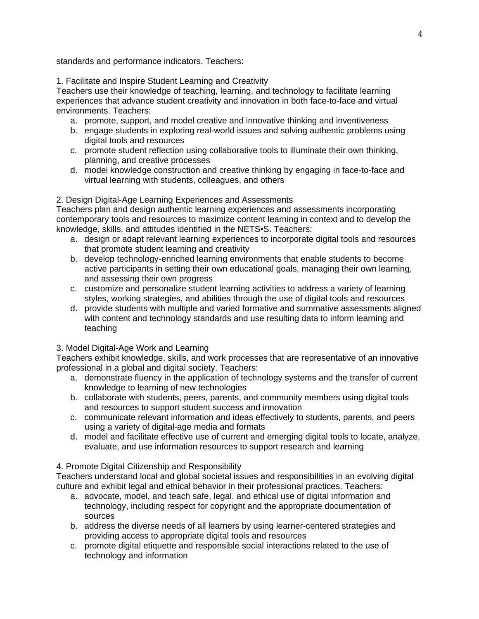standards and performance indicators. Teachers:

1. Facilitate and Inspire Student Learning and Creativity

environments. Teachers: Teachers use their knowledge of teaching, learning, and technology to facilitate learning experiences that advance student creativity and innovation in both face-to-face and virtual

- a. promote, support, and model creative and innovative thinking and inventiveness
- b. engage students in exploring real-world issues and solving authentic problems using digital tools and resources
- c. promote student reflection using collaborative tools to illuminate their own thinking, planning, and creative processes
- d. model knowledge construction and creative thinking by engaging in face-to-face and virtual learning with students, colleagues, and others

### 2. Design Digital-Age Learning Experiences and Assessments

Teachers plan and design authentic learning experiences and assessments incorporating contemporary tools and resources to maximize content learning in context and to develop the knowledge, skills, and attitudes identified in the NETS•S. Teachers:

- a. design or adapt relevant learning experiences to incorporate digital tools and resources that promote student learning and creativity
- b. develop technology-enriched learning environments that enable students to become active participants in setting their own educational goals, managing their own learning, and assessing their own progress
- c. customize and personalize student learning activities to address a variety of learning styles, working strategies, and abilities through the use of digital tools and resources
- d. provide students with multiple and varied formative and summative assessments aligned with content and technology standards and use resulting data to inform learning and teaching

#### 3. Model Digital-Age Work and Learning

Teachers exhibit knowledge, skills, and work processes that are representative of an innovative professional in a global and digital society. Teachers:

- a. demonstrate fluency in the application of technology systems and the transfer of current knowledge to learning of new technologies
- b. collaborate with students, peers, parents, and community members using digital tools and resources to support student success and innovation
- c. communicate relevant information and ideas effectively to students, parents, and peers using a variety of digital-age media and formats
- evaluate, and use information resources to support research and learning d. model and facilitate effective use of current and emerging digital tools to locate, analyze,

### 4. Promote Digital Citizenship and Responsibility

Teachers understand local and global societal issues and responsibilities in an evolving digital culture and exhibit legal and ethical behavior in their professional practices. Teachers:

- a. advocate, model, and teach safe, legal, and ethical use of digital information and technology, including respect for copyright and the appropriate documentation of sources
- b. address the diverse needs of all learners by using learner-centered strategies and providing access to appropriate digital tools and resources
- c. promote digital etiquette and responsible social interactions related to the use of technology and information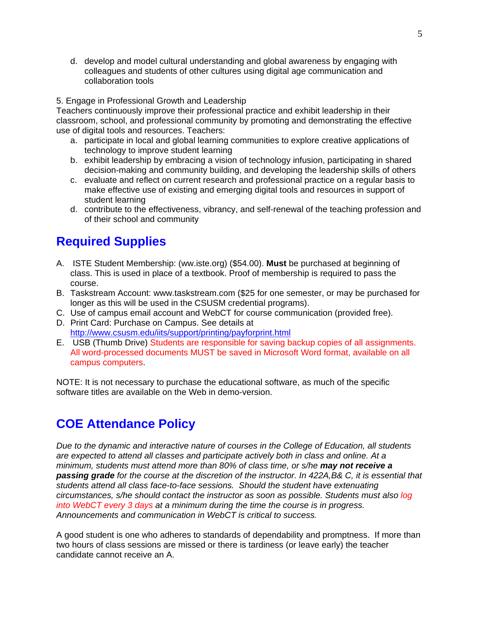d. develop and model cultural understanding and global awareness by engaging with colleagues and students of other cultures using digital age communication and collaboration tools

#### 5. Engage in Professional Growth and Leadership

Teachers continuously improve their professional practice and exhibit leadership in their classroom, school, and professional community by promoting and demonstrating the effective use of digital tools and resources. Teachers:

- a. participate in local and global learning communities to explore creative applications of technology to improve student learning
- b. exhibit leadership by embracing a vision of technology infusion, participating in shared decision-making and community building, and developing the leadership skills of others
- c. evaluate and reflect on current research and professional practice on a regular basis to make effective use of existing and emerging digital tools and resources in support of student learning
- d. contribute to the effectiveness, vibrancy, and self-renewal of the teaching profession and of their school and community

## **Required Supplies**

- A. ISTE Student Membership: (ww.iste.org) (\$54.00). **Must** be purchased at beginning of class. This is used in place of a textbook. Proof of membership is required to pass the course.
- B. Taskstream Account: www.taskstream.com (\$25 for one semester, or may be purchased for longer as this will be used in the CSUSM credential programs).
- C. Use of campus email account and WebCT for course communication (provided free).
- D. Print Card: Purchase on Campus. See details at http://www.csusm.edu/iits/support/printing/payforprint.html
- E. USB (Thumb Drive) Students are responsible for saving backup copies of all assignments. All word-processed documents MUST be saved in Microsoft Word format, available on all campus computers.

NOTE: It is not necessary to purchase the educational software, as much of the specific software titles are available on the Web in demo-version.

## **COE Attendance Policy**

*Due to the dynamic and interactive nature of courses in the College of Education, all students are expected to attend all classes and participate actively both in class and online. At a minimum, students must attend more than 80% of class time, or s/he may not receive a passing grade for the course at the discretion of the instructor. In 422A,B& C, it is essential that students attend all class face-to-face sessions. Should the student have extenuating circumstances, s/he should contact the instructor as soon as possible. Students must also log into WebCT every 3 days at a minimum during the time the course is in progress. Announcements and communication in WebCT is critical to success.* 

A good student is one who adheres to standards of dependability and promptness. If more than two hours of class sessions are missed or there is tardiness (or leave early) the teacher candidate cannot receive an A.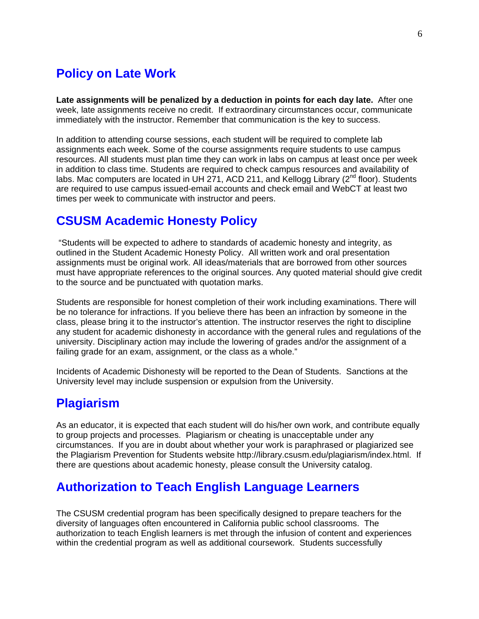## **Policy on Late Work**

**Late assignments will be penalized by a deduction in points for each day late.** After one week, late assignments receive no credit. If extraordinary circumstances occur, communicate immediately with the instructor. Remember that communication is the key to success.

In addition to attending course sessions, each student will be required to complete lab assignments each week. Some of the course assignments require students to use campus resources. All students must plan time they can work in labs on campus at least once per week in addition to class time. Students are required to check campus resources and availability of labs. Mac computers are located in UH 271, ACD 211, and Kellogg Library ( $2<sup>nd</sup>$  floor). Students are required to use campus issued-email accounts and check email and WebCT at least two times per week to communicate with instructor and peers.

## **CSUSM Academic Honesty Policy**

 "Students will be expected to adhere to standards of academic honesty and integrity, as outlined in the Student Academic Honesty Policy. All written work and oral presentation assignments must be original work. All ideas/materials that are borrowed from other sources must have appropriate references to the original sources. Any quoted material should give credit to the source and be punctuated with quotation marks.

Students are responsible for honest completion of their work including examinations. There will be no tolerance for infractions. If you believe there has been an infraction by someone in the class, please bring it to the instructor's attention. The instructor reserves the right to discipline any student for academic dishonesty in accordance with the general rules and regulations of the university. Disciplinary action may include the lowering of grades and/or the assignment of a failing grade for an exam, assignment, or the class as a whole."

Incidents of Academic Dishonesty will be reported to the Dean of Students. Sanctions at the University level may include suspension or expulsion from the University.

## **Plagiarism**

As an educator, it is expected that each student will do his/her own work, and contribute equally to group projects and processes. Plagiarism or cheating is unacceptable under any circumstances. If you are in doubt about whether your work is paraphrased or plagiarized see the Plagiarism Prevention for Students website http://library.csusm.edu/plagiarism/index.html. If there are questions about academic honesty, please consult the University catalog.

# **Authorization to Teach English Language Learners**

The CSUSM credential program has been specifically designed to prepare teachers for the diversity of languages often encountered in California public school classrooms. The authorization to teach English learners is met through the infusion of content and experiences within the credential program as well as additional coursework. Students successfully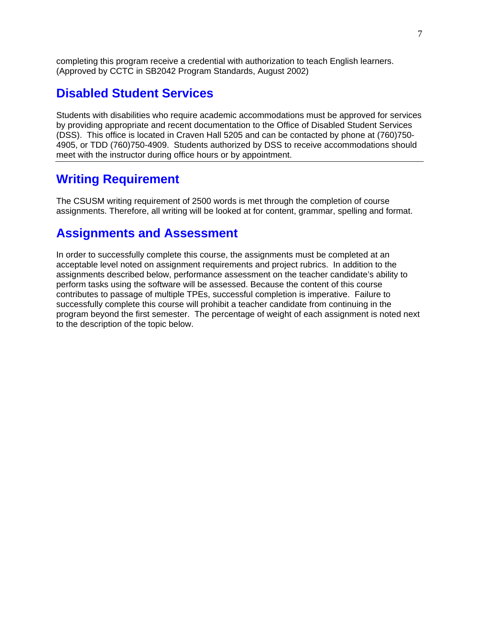completing this program receive a credential with authorization to teach English learners. (Approved by CCTC in SB2042 Program Standards, August 2002)

### **Disabled Student Services**

Students with disabilities who require academic accommodations must be approved for services by providing appropriate and recent documentation to the Office of Disabled Student Services (DSS). This office is located in Craven Hall 5205 and can be contacted by phone at (760)750- 4905, or TDD (760)750-4909. Students authorized by DSS to receive accommodations should meet with the instructor during office hours or by appointment.

## **Writing Requirement**

The CSUSM writing requirement of 2500 words is met through the completion of course assignments. Therefore, all writing will be looked at for content, grammar, spelling and format.

### **Assignments and Assessment**

In order to successfully complete this course, the assignments must be completed at an acceptable level noted on assignment requirements and project rubrics. In addition to the assignments described below, performance assessment on the teacher candidate's ability to perform tasks using the software will be assessed. Because the content of this course contributes to passage of multiple TPEs, successful completion is imperative. Failure to successfully complete this course will prohibit a teacher candidate from continuing in the program beyond the first semester. The percentage of weight of each assignment is noted next to the description of the topic below.